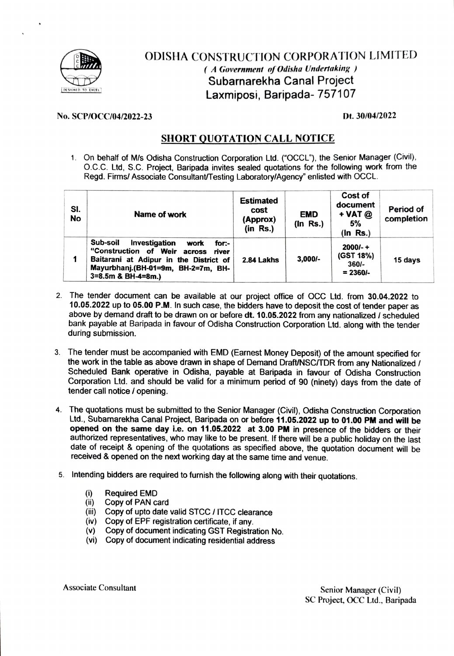

## ODISHA CONSTRUCTION CORPORATION LIMITED (A Government of Odisha Undertaking) Subarnarekha Canal Project **Laxmiposi, Baripada- 757107**

## No. SCP/OCC/04/2022-23 Dt. 30/04/2022

## SHORT QUoTATION CALL NOTICE

1. On behalf of M/s Odisha Construction Corporation Ltd. ("OCCL"), the Senior Manager (Civil), O.C.C. Ltd, S.C. Project, Baripada invites sealed quotations for the following work from the Regd. Firms/ Associate Consultant/Testing Laboratory/Agency" enlisted with OCCL.

| SI.<br>No | Name of work                                                                                                                                                                                       | <b>Estimated</b><br>cost<br>(Approx)<br>$(in$ Rs. $)$ | <b>EMD</b><br>(In Rs.) | Cost of<br>document<br>$+$ VAT $@$<br>5%<br>$(ln$ Rs.) | Period of<br>completion |
|-----------|----------------------------------------------------------------------------------------------------------------------------------------------------------------------------------------------------|-------------------------------------------------------|------------------------|--------------------------------------------------------|-------------------------|
|           | Sub-soil<br><b>Investigation</b><br>work<br>for:-<br>"Construction of Weir across<br>river<br>Baitarani at Adipur in the District of<br>Mayurbhanj.(BH-01=9m, BH-2=7m, BH-<br>$3=8.5m$ & BH-4=8m.) | 2.84 Lakhs                                            | $3.000/-$              | $2000/- +$<br>(GST 18%)<br>$360/-$<br>$= 2360/-$       | 15 days                 |

- 2. The tender document can be available at our project office of OCC Ltd. from 30.04.2022 to 10.05.2022 up to 05.00 P.M. In such case, the bidders have to deposit the cost of tender paper as above by demand draft to be drawn on or before dt. 10.05.2022 from any nationalized / scheduled bank payable at Baripada in favour of Odisha Construction Corporation Ltd. along with the tender during submission.
- 3. The tender must be accompanied with EMD (Earnest Money Deposit) of the amaunt specified for the work in the table as above drawn in shape of Demand Draft/NSC/TDR from any Nationalized / Scheduled Bank operative in Odisha, payable at Baripada in favour of Odisha Construction Corporation Ltd. and should be valid for a minimum period of 90 (ninety) days from the date of tender call notice / opening.
- 4. The quotations must be submitted to the Senior Manager (Civil), Odisha Construction Corporation Ltd., Subarnarekha Canal Project, Baripada on or before 11.05.2022 up to 01.00 PM and wil be opened on the same day i.e. on 11.05.2022 at 3.00 PM in presence of the bidders or their authorized representatives, who may like to be present. If there will be a public holiday on the last date of receipt & opening of the quotations as specified above, the quotation document wil be received & opened on the next working day at the same time and venue.
- 5. Intending bidders are required to furnish the following along with their quotations.
	- $(i)$ Required EMD
	- $(iii)$ Copy of PAN card
	- (iii) Copy of upto date valid STCC / ITCC clearance
	- (iv) Copy of EPF registration certificate, if any.
	- (v) Copy of document indicating GST Registration No.
	- (vi) Copy of document indicating residential address